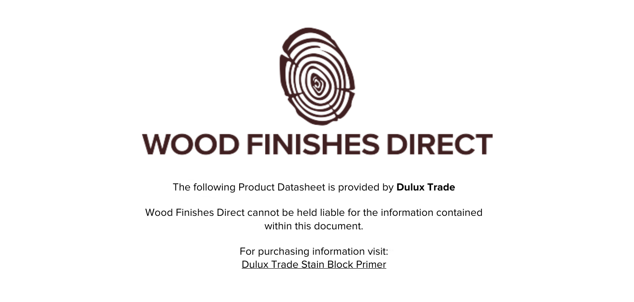

The following Product Datasheet is provided by **Dulux Trade**

Wood Finishes Direct cannot be held liable for the information contained within this document.

> For purchasing information visit: [Dulux Trade Stain Block Primer](https://www.wood-finishes-direct.com/product/dulux-trade-stain-block-primer)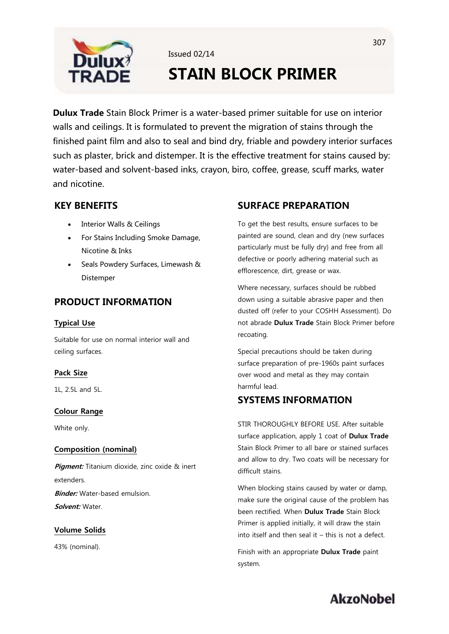

# **STAIN BLOCK PRIMER**

**Dulux Trade** Stain Block Primer is a water-based primer suitable for use on interior walls and ceilings. It is formulated to prevent the migration of stains through the finished paint film and also to seal and bind dry, friable and powdery interior surfaces such as plaster, brick and distemper. It is the effective treatment for stains caused by: water-based and solvent-based inks, crayon, biro, coffee, grease, scuff marks, water and nicotine

Issued 02/14

# **KEY BENEFITS**

- **Interior Walls & Ceilings**  $\bullet$
- For Stains Including Smoke Damage, Nicotine & Inks
- Seals Powdery Surfaces, Limewash & Distemper

### **PRODUCT INFORMATION**

### **Typical Use**

Suitable for use on normal interior wall and ceiling surfaces.

### **Pack Size**

1L, 2.5L and 5L.

### **Colour Range**

White only.

### **Composition (nominal)**

**Piament:** Titanium dioxide, zinc oxide & inert extenders. **Binder:** Water-based emulsion Solvent: Water.

### **Volume Solids**

43% (nominal).

### **SURFACE PREPARATION**

To get the best results, ensure surfaces to be painted are sound, clean and dry (new surfaces particularly must be fully dry) and free from all defective or poorly adhering material such as efflorescence, dirt, grease or wax.

Where necessary, surfaces should be rubbed down using a suitable abrasive paper and then dusted off (refer to your COSHH Assessment). Do not abrade Dulux Trade Stain Block Primer before recoating.

Special precautions should be taken during surface preparation of pre-1960s paint surfaces over wood and metal as they may contain harmful lead.

## **SYSTEMS INFORMATION**

STIR THOROUGHLY BEFORE USE. After suitable surface application, apply 1 coat of Dulux Trade Stain Block Primer to all bare or stained surfaces and allow to dry. Two coats will be necessary for difficult stains.

When blocking stains caused by water or damp, make sure the original cause of the problem has been rectified. When Dulux Trade Stain Block Primer is applied initially, it will draw the stain into itself and then seal it  $-$  this is not a defect.

Finish with an appropriate Dulux Trade paint system.

# **AkzoNobel**